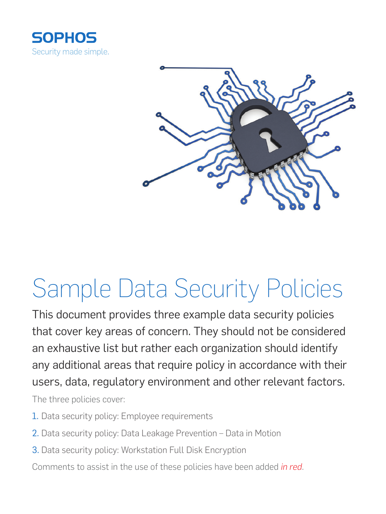



# Sample Data Security Policies

This document provides three example data security policies that cover key areas of concern. They should not be considered an exhaustive list but rather each organization should identify any additional areas that require policy in accordance with their users, data, regulatory environment and other relevant factors.

The three policies cover:

- 1. Data security policy: Employee requirements
- 2. Data security policy: Data Leakage Prevention Data in Motion
- 3. Data security policy: Workstation Full Disk Encryption

Comments to assist in the use of these policies have been added *in red*.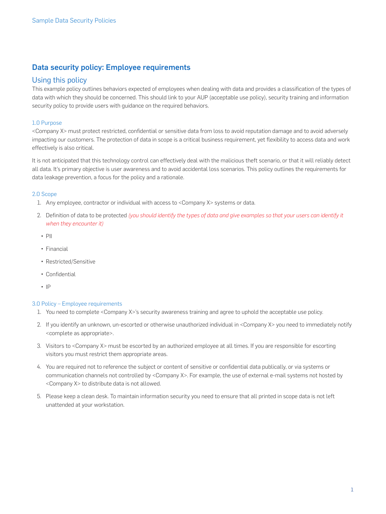# Data security policy: Employee requirements

## Using this policy

This example policy outlines behaviors expected of employees when dealing with data and provides a classification of the types of data with which they should be concerned. This should link to your AUP (acceptable use policy), security training and information security policy to provide users with guidance on the required behaviors.

## 1.0 Purpose

<Company X> must protect restricted, confidential or sensitive data from loss to avoid reputation damage and to avoid adversely impacting our customers. The protection of data in scope is a critical business requirement, yet flexibility to access data and work effectively is also critical.

It is not anticipated that this technology control can effectively deal with the malicious theft scenario, or that it will reliably detect all data. It's primary objective is user awareness and to avoid accidental loss scenarios. This policy outlines the requirements for data leakage prevention, a focus for the policy and a rationale.

### 2.0 Scope

- 1. Any employee, contractor or individual with access to <Company X> systems or data.
- 2. Definition of data to be protected *(you should identify the types of data and give examples so that your users can identify it when they encounter it)*
	- $\cdot$  PII
	- Financial
	- Restricted/Sensitive
	- Confidential
	- $\blacksquare$

#### 3.0 Policy – Employee requirements

- 1. You need to complete <Company X>'s security awareness training and agree to uphold the acceptable use policy.
- 2. If you identify an unknown, un-escorted or otherwise unauthorized individual in <Company X> you need to immediately notify <complete as appropriate>.
- 3. Visitors to <Company X> must be escorted by an authorized employee at all times. If you are responsible for escorting visitors you must restrict them appropriate areas.
- 4. You are required not to reference the subject or content of sensitive or confidential data publically, or via systems or communication channels not controlled by <Company X>. For example, the use of external e-mail systems not hosted by <Company X> to distribute data is not allowed.
- 5. Please keep a clean desk. To maintain information security you need to ensure that all printed in scope data is not left unattended at your workstation.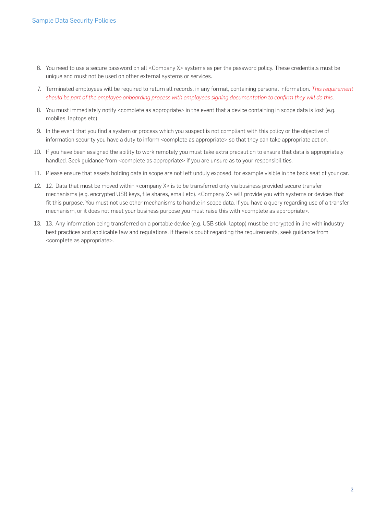- 6. You need to use a secure password on all <Company X> systems as per the password policy. These credentials must be unique and must not be used on other external systems or services.
- 7. Terminated employees will be required to return all records, in any format, containing personal information. *This requirement should be part of the employee onboarding process with employees signing documentation to confirm they will do this*.
- 8. You must immediately notify <complete as appropriate> in the event that a device containing in scope data is lost (e.g. mobiles, laptops etc).
- 9. In the event that you find a system or process which you suspect is not compliant with this policy or the objective of information security you have a duty to inform <complete as appropriate> so that they can take appropriate action.
- 10. If you have been assigned the ability to work remotely you must take extra precaution to ensure that data is appropriately handled. Seek guidance from <complete as appropriate> if you are unsure as to your responsibilities.
- 11. Please ensure that assets holding data in scope are not left unduly exposed, for example visible in the back seat of your car.
- 12. 12. Data that must be moved within <company X> is to be transferred only via business provided secure transfer mechanisms (e.g. encrypted USB keys, file shares, email etc). <Company X> will provide you with systems or devices that fit this purpose. You must not use other mechanisms to handle in scope data. If you have a query regarding use of a transfer mechanism, or it does not meet your business purpose you must raise this with <complete as appropriate>.
- 13. 13. Any information being transferred on a portable device (e.g. USB stick, laptop) must be encrypted in line with industry best practices and applicable law and regulations. If there is doubt regarding the requirements, seek guidance from <complete as appropriate>.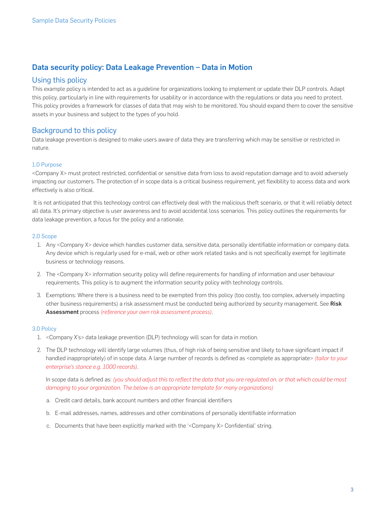# Data security policy: Data Leakage Prevention – Data in Motion

## Using this policy

This example policy is intended to act as a guideline for organizations looking to implement or update their DLP controls. Adapt this policy, particularly in line with requirements for usability or in accordance with the regulations or data you need to protect. This policy provides a framework for classes of data that may wish to be monitored. You should expand them to cover the sensitive assets in your business and subject to the types of you hold.

# Background to this policy

Data leakage prevention is designed to make users aware of data they are transferring which may be sensitive or restricted in nature.

## 1.0 Purpose

<Company X> must protect restricted, confidential or sensitive data from loss to avoid reputation damage and to avoid adversely impacting our customers. The protection of in scope data is a critical business requirement, yet flexibility to access data and work effectively is also critical.

It is not anticipated that this technology control can effectively deal with the malicious theft scenario, or that it will reliably detect all data. It's primary objective is user awareness and to avoid accidental loss scenarios. This policy outlines the requirements for data leakage prevention, a focus for the policy and a rationale.

#### 2.0 Scope

- 1. Any <Company X> device which handles customer data, sensitive data, personally identifiable information or company data. Any device which is regularly used for e-mail, web or other work related tasks and is not specifically exempt for legitimate business or technology reasons.
- 2. The <Company X> information security policy will define requirements for handling of information and user behaviour requirements. This policy is to augment the information security policy with technology controls.
- 3. Exemptions: Where there is a business need to be exempted from this policy (too costly, too complex, adversely impacting other business requirements) a risk assessment must be conducted being authorized by security management. See Risk Assessment process *(reference your own risk assessment process)*.

#### 3.0 Policy

- 1. <Company X's> data leakage prevention (DLP) technology will scan for data in motion.
- 2. The DLP technology will identify large volumes (thus, of high risk of being sensitive and likely to have significant impact if handled inappropriately) of in scope data. A large number of records is defined as <complete as appropriate> *(tailor to your enterprise's stance e.g. 1000 records)*.

In scope data is defined as: *(you should adjust this to reflect the data that you are regulated on, or that which could be most damaging to your organization. The below is an appropriate template for many organizations)*

- a. Credit card details, bank account numbers and other financial identifiers
- b. E-mail addresses, names, addresses and other combinations of personally identifiable information
- c. Documents that have been explicitly marked with the '<Company X> Confidential' string.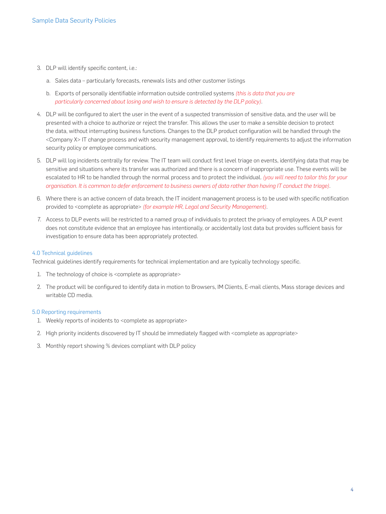- 3. DLP will identify specific content, i.e.:
	- a. Sales data particularly forecasts, renewals lists and other customer listings
	- b. Exports of personally identifiable information outside controlled systems *(this is data that you are particularly concerned about losing and wish to ensure is detected by the DLP policy)*.
- 4. DLP will be configured to alert the user in the event of a suspected transmission of sensitive data, and the user will be presented with a choice to authorize or reject the transfer. This allows the user to make a sensible decision to protect the data, without interrupting business functions. Changes to the DLP product configuration will be handled through the <Company X> IT change process and with security management approval, to identify requirements to adjust the information security policy or employee communications.
- 5. DLP will log incidents centrally for review. The IT team will conduct first level triage on events, identifying data that may be sensitive and situations where its transfer was authorized and there is a concern of inappropriate use. These events will be escalated to HR to be handled through the normal process and to protect the individual. *(you will need to tailor this for your organisation. It is common to defer enforcement to business owners of data rather than having IT conduct the triage)*.
- 6. Where there is an active concern of data breach, the IT incident management process is to be used with specific notification provided to <complete as appropriate> *(for example HR, Legal and Security Management)*.
- 7. Access to DLP events will be restricted to a named group of individuals to protect the privacy of employees. A DLP event does not constitute evidence that an employee has intentionally, or accidentally lost data but provides sufficient basis for investigation to ensure data has been appropriately protected.

#### 4.0 Technical guidelines

Technical guidelines identify requirements for technical implementation and are typically technology specific.

- 1. The technology of choice is <complete as appropriate>
- 2. The product will be configured to identify data in motion to Browsers, IM Clients, E-mail clients, Mass storage devices and writable CD media.

#### 5.0 Reporting requirements

- 1. Weekly reports of incidents to <complete as appropriate>
- 2. High priority incidents discovered by IT should be immediately flagged with <complete as appropriate>
- 3. Monthly report showing % devices compliant with DLP policy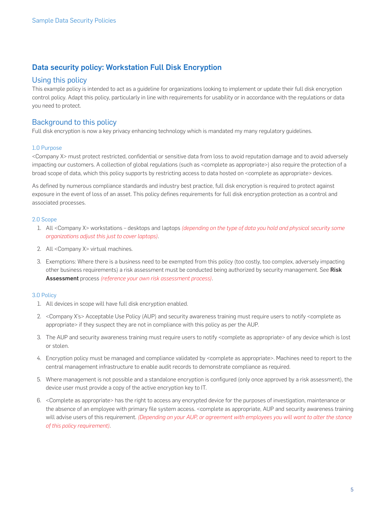# Data security policy: Workstation Full Disk Encryption

## Using this policy

This example policy is intended to act as a guideline for organizations looking to implement or update their full disk encryption control policy. Adapt this policy, particularly in line with requirements for usability or in accordance with the regulations or data you need to protect.

# Background to this policy

Full disk encryption is now a key privacy enhancing technology which is mandated my many regulatory guidelines.

## 1.0 Purpose

<Company X> must protect restricted, confidential or sensitive data from loss to avoid reputation damage and to avoid adversely impacting our customers. A collection of global regulations (such as <complete as appropriate>) also require the protection of a broad scope of data, which this policy supports by restricting access to data hosted on <complete as appropriate> devices.

As defined by numerous compliance standards and industry best practice, full disk encryption is required to protect against exposure in the event of loss of an asset. This policy defines requirements for full disk encryption protection as a control and associated processes.

## 2.0 Scope

- 1. All <Company X> workstations desktops and laptops *(depending on the type of data you hold and physical security some organizations adjust this just to cover laptops)*.
- 2. All <Company X> virtual machines.
- 3. Exemptions: Where there is a business need to be exempted from this policy (too costly, too complex, adversely impacting other business requirements) a risk assessment must be conducted being authorized by security management. See Risk Assessment process *(reference your own risk assessment process)*.

## 3.0 Policy

- 1. All devices in scope will have full disk encryption enabled.
- 2. <Company X's> Acceptable Use Policy (AUP) and security awareness training must require users to notify <complete as appropriate> if they suspect they are not in compliance with this policy as per the AUP.
- 3. The AUP and security awareness training must require users to notify <complete as appropriate> of any device which is lost or stolen.
- 4. Encryption policy must be managed and compliance validated by <complete as appropriate>. Machines need to report to the central management infrastructure to enable audit records to demonstrate compliance as required.
- 5. Where management is not possible and a standalone encryption is configured (only once approved by a risk assessment), the device user must provide a copy of the active encryption key to IT.
- 6. <Complete as appropriate> has the right to access any encrypted device for the purposes of investigation, maintenance or the absence of an employee with primary file system access. <complete as appropriate, AUP and security awareness training will advise users of this requirement. *(Depending on your AUP, or agreement with employees you will want to alter the stance of this policy requirement)*.